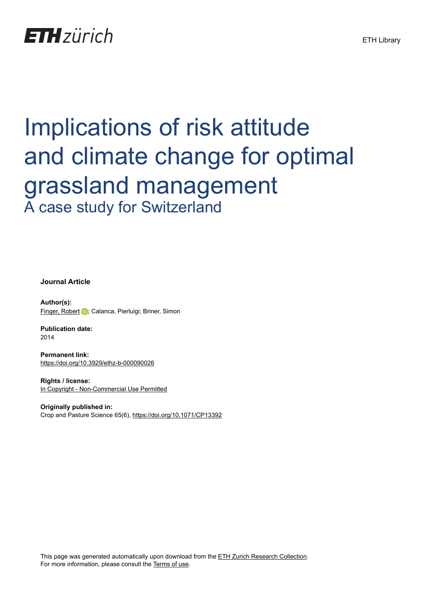

# Implications of risk attitude and climate change for optimal grassland management A case study for Switzerland

**Journal Article**

**Author(s):** [Finger, Robert](https://orcid.org/0000-0002-0634-5742) D; Calanca, Pierluigi; Briner, Simon

**Publication date:** 2014

**Permanent link:** <https://doi.org/10.3929/ethz-b-000090026>

**Rights / license:** [In Copyright - Non-Commercial Use Permitted](http://rightsstatements.org/page/InC-NC/1.0/)

**Originally published in:** Crop and Pasture Science 65(6), <https://doi.org/10.1071/CP13392>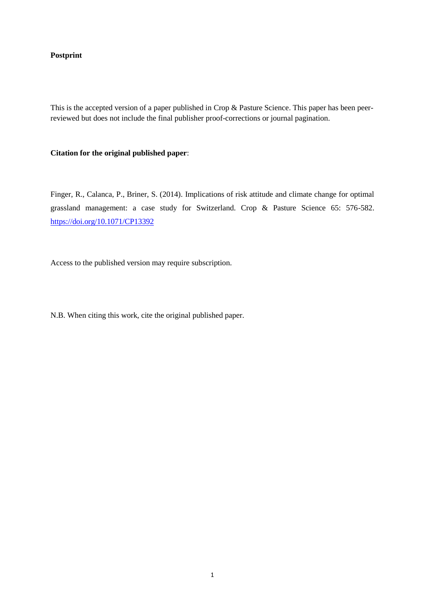# **Postprint**

This is the accepted version of a paper published in Crop & Pasture Science. This paper has been peerreviewed but does not include the final publisher proof-corrections or journal pagination.

## **Citation for the original published paper**:

Finger, R., Calanca, P., Briner, S. (2014). Implications of risk attitude and climate change for optimal grassland management: a case study for Switzerland. Crop & Pasture Science 65: 576-582. <https://doi.org/10.1071/CP13392>

Access to the published version may require subscription.

N.B. When citing this work, cite the original published paper.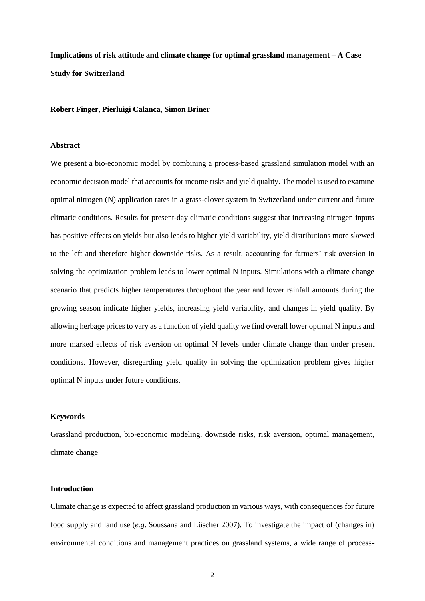**Implications of risk attitude and climate change for optimal grassland management – A Case Study for Switzerland**

**Robert Finger, Pierluigi Calanca, Simon Briner** 

## **Abstract**

We present a bio-economic model by combining a process-based grassland simulation model with an economic decision model that accounts for income risks and yield quality. The model is used to examine optimal nitrogen (N) application rates in a grass-clover system in Switzerland under current and future climatic conditions. Results for present-day climatic conditions suggest that increasing nitrogen inputs has positive effects on yields but also leads to higher yield variability, yield distributions more skewed to the left and therefore higher downside risks. As a result, accounting for farmers' risk aversion in solving the optimization problem leads to lower optimal N inputs. Simulations with a climate change scenario that predicts higher temperatures throughout the year and lower rainfall amounts during the growing season indicate higher yields, increasing yield variability, and changes in yield quality. By allowing herbage prices to vary as a function of yield quality we find overall lower optimal N inputs and more marked effects of risk aversion on optimal N levels under climate change than under present conditions. However, disregarding yield quality in solving the optimization problem gives higher optimal N inputs under future conditions.

## **Keywords**

Grassland production, bio-economic modeling, downside risks, risk aversion, optimal management, climate change

#### **Introduction**

Climate change is expected to affect grassland production in various ways, with consequences for future food supply and land use (*e.g*. Soussana and Lüscher 2007). To investigate the impact of (changes in) environmental conditions and management practices on grassland systems, a wide range of process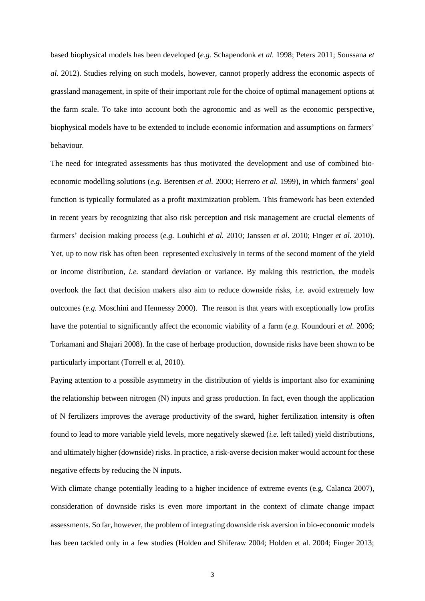based biophysical models has been developed (*e.g.* Schapendonk *et al.* 1998; Peters 2011; Soussana *et al.* 2012). Studies relying on such models, however, cannot properly address the economic aspects of grassland management, in spite of their important role for the choice of optimal management options at the farm scale. To take into account both the agronomic and as well as the economic perspective, biophysical models have to be extended to include economic information and assumptions on farmers' behaviour.

The need for integrated assessments has thus motivated the development and use of combined bioeconomic modelling solutions (*e.g.* Berentsen *et al.* 2000; Herrero *et al.* 1999), in which farmers' goal function is typically formulated as a profit maximization problem. This framework has been extended in recent years by recognizing that also risk perception and risk management are crucial elements of farmers' decision making process (*e.g.* Louhichi *et al.* 2010; Janssen *et al.* 2010; Finger *et al.* 2010). Yet, up to now risk has often been represented exclusively in terms of the second moment of the yield or income distribution, *i.e.* standard deviation or variance. By making this restriction, the models overlook the fact that decision makers also aim to reduce downside risks, *i.e.* avoid extremely low outcomes (*e.g.* Moschini and Hennessy 2000). The reason is that years with exceptionally low profits have the potential to significantly affect the economic viability of a farm (*e.g.* Koundouri *et al.* 2006; Torkamani and Shajari 2008). In the case of herbage production, downside risks have been shown to be particularly important (Torrell et al, 2010).

Paying attention to a possible asymmetry in the distribution of yields is important also for examining the relationship between nitrogen (N) inputs and grass production. In fact, even though the application of N fertilizers improves the average productivity of the sward, higher fertilization intensity is often found to lead to more variable yield levels, more negatively skewed (*i.e.* left tailed) yield distributions, and ultimately higher (downside) risks. In practice, a risk-averse decision maker would account for these negative effects by reducing the N inputs.

With climate change potentially leading to a higher incidence of extreme events (e.g. Calanca 2007), consideration of downside risks is even more important in the context of climate change impact assessments. So far, however, the problem of integrating downside risk aversion in bio-economic models has been tackled only in a few studies (Holden and Shiferaw 2004; Holden et al. 2004; Finger 2013;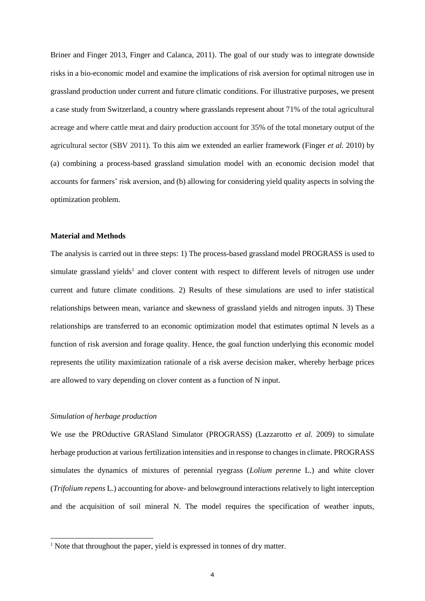Briner and Finger 2013, Finger and Calanca, 2011). The goal of our study was to integrate downside risks in a bio-economic model and examine the implications of risk aversion for optimal nitrogen use in grassland production under current and future climatic conditions. For illustrative purposes, we present a case study from Switzerland, a country where grasslands represent about 71% of the total agricultural acreage and where cattle meat and dairy production account for 35% of the total monetary output of the agricultural sector (SBV 2011). To this aim we extended an earlier framework (Finger *et al.* 2010) by (a) combining a process-based grassland simulation model with an economic decision model that accounts for farmers' risk aversion, and (b) allowing for considering yield quality aspects in solving the optimization problem.

## **Material and Methods**

The analysis is carried out in three steps: 1) The process-based grassland model PROGRASS is used to simulate grassland yields<sup>1</sup> and clover content with respect to different levels of nitrogen use under current and future climate conditions. 2) Results of these simulations are used to infer statistical relationships between mean, variance and skewness of grassland yields and nitrogen inputs. 3) These relationships are transferred to an economic optimization model that estimates optimal N levels as a function of risk aversion and forage quality. Hence, the goal function underlying this economic model represents the utility maximization rationale of a risk averse decision maker, whereby herbage prices are allowed to vary depending on clover content as a function of N input.

## *Simulation of herbage production*

-

We use the PROductive GRASland Simulator (PROGRASS) (Lazzarotto *et al.* 2009) to simulate herbage production at various fertilization intensities and in response to changes in climate. PROGRASS simulates the dynamics of mixtures of perennial ryegrass (*Lolium perenne* L.) and white clover (*Trifolium repens* L.) accounting for above- and belowground interactions relatively to light interception and the acquisition of soil mineral N. The model requires the specification of weather inputs,

<sup>&</sup>lt;sup>1</sup> Note that throughout the paper, yield is expressed in tonnes of dry matter.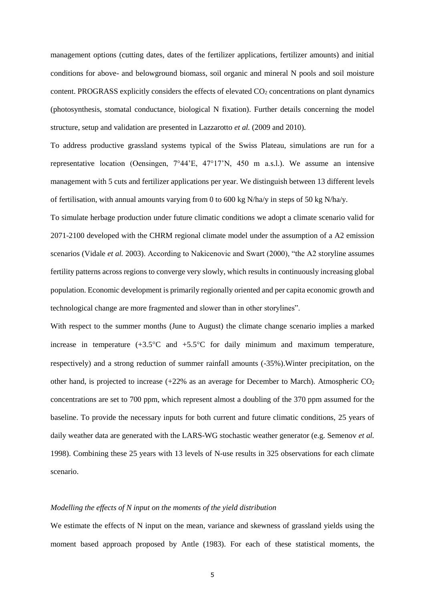management options (cutting dates, dates of the fertilizer applications, fertilizer amounts) and initial conditions for above- and belowground biomass, soil organic and mineral N pools and soil moisture content. PROGRASS explicitly considers the effects of elevated  $CO<sub>2</sub>$  concentrations on plant dynamics (photosynthesis, stomatal conductance, biological N fixation). Further details concerning the model structure, setup and validation are presented in Lazzarotto *et al.* (2009 and 2010).

To address productive grassland systems typical of the Swiss Plateau, simulations are run for a representative location (Oensingen, 7°44'E, 47°17'N, 450 m a.s.l.). We assume an intensive management with 5 cuts and fertilizer applications per year. We distinguish between 13 different levels of fertilisation, with annual amounts varying from 0 to 600 kg N/ha/y in steps of 50 kg N/ha/y.

To simulate herbage production under future climatic conditions we adopt a climate scenario valid for 2071-2100 developed with the CHRM regional climate model under the assumption of a A2 emission scenarios (Vidale *et al.* 2003). According to Nakicenovic and Swart (2000), "the A2 storyline assumes fertility patterns across regions to converge very slowly, which results in continuously increasing global population. Economic development is primarily regionally oriented and per capita economic growth and technological change are more fragmented and slower than in other storylines".

With respect to the summer months (June to August) the climate change scenario implies a marked increase in temperature  $(+3.5^{\circ}C$  and  $+5.5^{\circ}C$  for daily minimum and maximum temperature, respectively) and a strong reduction of summer rainfall amounts (-35%).Winter precipitation, on the other hand, is projected to increase  $(+22\%$  as an average for December to March). Atmospheric CO<sub>2</sub> concentrations are set to 700 ppm, which represent almost a doubling of the 370 ppm assumed for the baseline. To provide the necessary inputs for both current and future climatic conditions, 25 years of daily weather data are generated with the LARS-WG stochastic weather generator (e.g. Semenov *et al.* 1998). Combining these 25 years with 13 levels of N-use results in 325 observations for each climate scenario.

### *Modelling the effects of N input on the moments of the yield distribution*

We estimate the effects of N input on the mean, variance and skewness of grassland yields using the moment based approach proposed by Antle (1983). For each of these statistical moments, the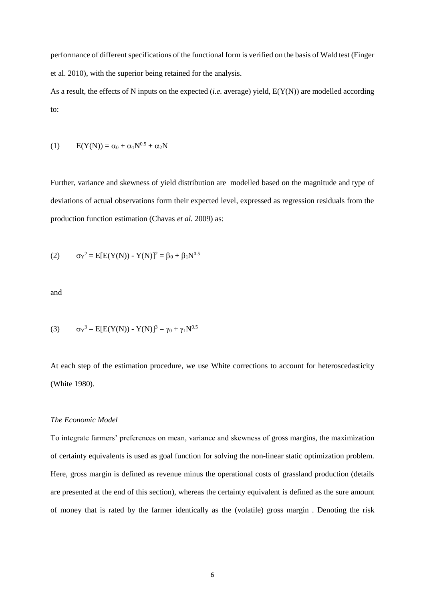performance of different specifications of the functional form is verified on the basis of Wald test (Finger et al. 2010), with the superior being retained for the analysis.

As a result, the effects of N inputs on the expected (*i.e.* average) yield, E(Y(N)) are modelled according to:

(1) 
$$
E(Y(N)) = \alpha_0 + \alpha_1 N^{0.5} + \alpha_2 N
$$

Further, variance and skewness of yield distribution are modelled based on the magnitude and type of deviations of actual observations form their expected level, expressed as regression residuals from the production function estimation (Chavas *et al.* 2009) as:

(2) 
$$
\sigma_Y^2 = E[E(Y(N)) - Y(N)]^2 = \beta_0 + \beta_1 N^{0.5}
$$

and

(3) 
$$
\sigma_Y^3 = E[E(Y(N)) - Y(N)]^3 = \gamma_0 + \gamma_1 N^{0.5}
$$

At each step of the estimation procedure, we use White corrections to account for heteroscedasticity (White 1980).

## *The Economic Model*

To integrate farmers' preferences on mean, variance and skewness of gross margins, the maximization of certainty equivalents is used as goal function for solving the non-linear static optimization problem. Here, gross margin is defined as revenue minus the operational costs of grassland production (details are presented at the end of this section), whereas the certainty equivalent is defined as the sure amount of money that is rated by the farmer identically as the (volatile) gross margin . Denoting the risk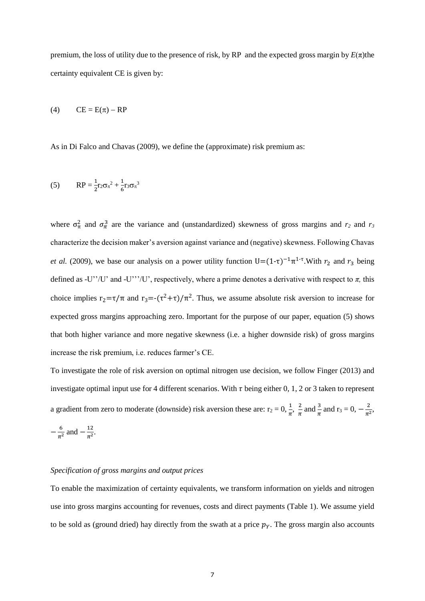premium, the loss of utility due to the presence of risk, by RP and the expected gross margin by  $E(\pi)$ the certainty equivalent CE is given by:

$$
(4) \qquad CE = E(\pi) - RP
$$

As in Di Falco and Chavas (2009), we define the (approximate) risk premium as:

(5) 
$$
RP = \frac{1}{2}r_2\sigma_{\pi}^2 + \frac{1}{6}r_3\sigma_{\pi}^3
$$

where  $\sigma_{\pi}^2$  and  $\sigma_{\pi}^3$  are the variance and (unstandardized) skewness of gross margins and  $r_2$  and  $r_3$ characterize the decision maker's aversion against variance and (negative) skewness. Following Chavas *et al.* (2009), we base our analysis on a power utility function  $U=(1-\tau)^{-1}\pi^{1-\tau}$ . With  $r_2$  and  $r_3$  being defined as -U''/U' and -U'''/U', respectively, where a prime denotes a derivative with respect to  $\pi$ , this choice implies  $r_2 = \tau/\pi$  and  $r_3 = -(\tau^2 + \tau)/\pi^2$ . Thus, we assume absolute risk aversion to increase for expected gross margins approaching zero. Important for the purpose of our paper, equation (5) shows that both higher variance and more negative skewness (i.e. a higher downside risk) of gross margins increase the risk premium, i.e. reduces farmer's CE.

To investigate the role of risk aversion on optimal nitrogen use decision, we follow Finger (2013) and investigate optimal input use for 4 different scenarios. With  $\tau$  being either 0, 1, 2 or 3 taken to represent a gradient from zero to moderate (downside) risk aversion these are:  $r_2 = 0$ ,  $\frac{1}{\pi}$ ,  $\frac{2}{\pi}$  $rac{2}{\pi}$  and  $rac{3}{\pi}$  and  $r_3 = 0$ ,  $-\frac{2}{\pi}$  $rac{2}{\pi^2}$ ,  $-\frac{6}{7}$  $\frac{6}{\pi^2}$  and  $-\frac{12}{\pi^2}$  $rac{12}{\pi^2}$ .

#### *Specification of gross margins and output prices*

To enable the maximization of certainty equivalents, we transform information on yields and nitrogen use into gross margins accounting for revenues, costs and direct payments (Table 1). We assume yield to be sold as (ground dried) hay directly from the swath at a price  $p<sub>y</sub>$ . The gross margin also accounts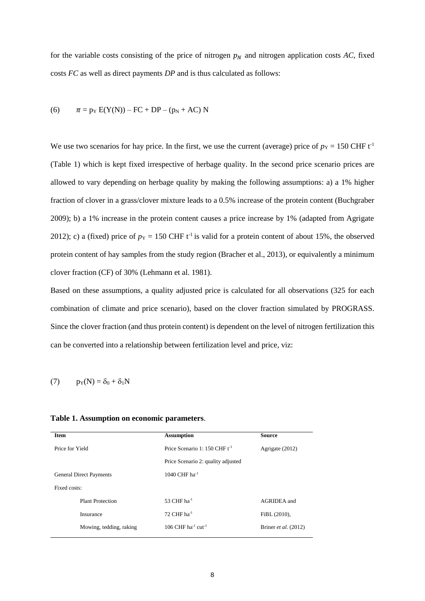for the variable costs consisting of the price of nitrogen  $p<sub>N</sub>$  and nitrogen application costs AC, fixed costs *FC* as well as direct payments *DP* and is thus calculated as follows:

(6) 
$$
\pi = p_Y E(Y(N)) - FC + DP - (p_N + AC) N
$$

We use two scenarios for hay price. In the first, we use the current (average) price of  $p_Y = 150$  CHF t<sup>-1</sup> (Table 1) which is kept fixed irrespective of herbage quality. In the second price scenario prices are allowed to vary depending on herbage quality by making the following assumptions: a) a 1% higher fraction of clover in a grass/clover mixture leads to a 0.5% increase of the protein content (Buchgraber 2009); b) a 1% increase in the protein content causes a price increase by 1% (adapted from Agrigate 2012); c) a (fixed) price of  $p_Y = 150$  CHF t<sup>-1</sup> is valid for a protein content of about 15%, the observed protein content of hay samples from the study region (Bracher et al., 2013), or equivalently a minimum clover fraction (CF) of 30% (Lehmann et al. 1981).

Based on these assumptions, a quality adjusted price is calculated for all observations (325 for each combination of climate and price scenario), based on the clover fraction simulated by PROGRASS. Since the clover fraction (and thus protein content) is dependent on the level of nitrogen fertilization this can be converted into a relationship between fertilization level and price, viz:

(7)  $p_Y(N) = \delta_0 + \delta_1 N$ 

## **Table 1. Assumption on economic parameters**.

| <b>Item</b>                    |                         | <b>Assumption</b>                          | <b>Source</b>        |  |  |  |
|--------------------------------|-------------------------|--------------------------------------------|----------------------|--|--|--|
| Price for Yield                |                         | Price Scenario 1: 150 CHF $t^{-1}$         | Agrigate (2012)      |  |  |  |
|                                |                         | Price Scenario 2: quality adjusted         |                      |  |  |  |
| <b>General Direct Payments</b> |                         | 1040 CHF $ha^{-1}$                         |                      |  |  |  |
| Fixed costs:                   |                         |                                            |                      |  |  |  |
|                                | <b>Plant Protection</b> | 53 CHF $ha^{-1}$                           | AGRIDEA and          |  |  |  |
|                                | Insurance               | 72 CHF $ha^{-1}$                           | FiBL (2010),         |  |  |  |
|                                | Mowing, tedding, raking | 106 CHF ha <sup>-1</sup> cut <sup>-1</sup> | Briner et al. (2012) |  |  |  |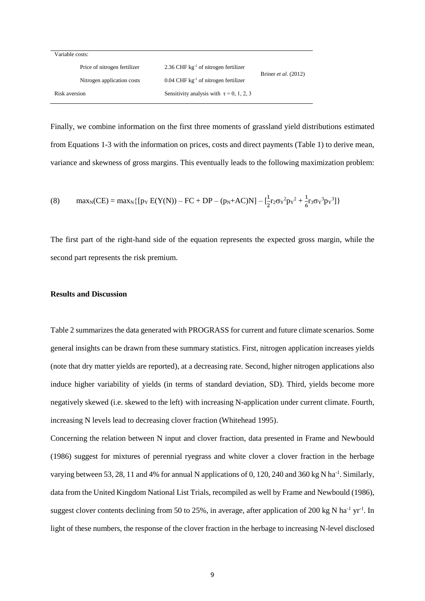| Variable costs: |                              |                                                    |                      |  |  |  |  |
|-----------------|------------------------------|----------------------------------------------------|----------------------|--|--|--|--|
|                 | Price of nitrogen fertilizer | 2.36 CHF $kg^{-1}$ of nitrogen fertilizer          | Briner et al. (2012) |  |  |  |  |
|                 | Nitrogen application costs   | $0.04$ CHF kg <sup>-1</sup> of nitrogen fertilizer |                      |  |  |  |  |
| Risk aversion   |                              | Sensitivity analysis with $\tau = 0, 1, 2, 3$      |                      |  |  |  |  |

Finally, we combine information on the first three moments of grassland yield distributions estimated from Equations 1-3 with the information on prices, costs and direct payments (Table 1) to derive mean, variance and skewness of gross margins. This eventually leads to the following maximization problem:

(8) 
$$
\max_{N} (CE) = \max_{N} \{ [p_{Y} E(Y(N)) - FC + DP - (p_{N} + AC)N] - [\frac{1}{2}r_{2}\sigma_{Y}^{2}p_{Y}^{2} + \frac{1}{6}r_{3}\sigma_{Y}^{3}p_{Y}^{3}] \}
$$

The first part of the right-hand side of the equation represents the expected gross margin, while the second part represents the risk premium.

## **Results and Discussion**

Table 2 summarizes the data generated with PROGRASS for current and future climate scenarios. Some general insights can be drawn from these summary statistics. First, nitrogen application increases yields (note that dry matter yields are reported), at a decreasing rate. Second, higher nitrogen applications also induce higher variability of yields (in terms of standard deviation, SD). Third, yields become more negatively skewed (i.e. skewed to the left) with increasing N-application under current climate. Fourth, increasing N levels lead to decreasing clover fraction (Whitehead 1995).

Concerning the relation between N input and clover fraction, data presented in Frame and Newbould (1986) suggest for mixtures of perennial ryegrass and white clover a clover fraction in the herbage varying between 53, 28, 11 and 4% for annual N applications of 0, 120, 240 and 360 kg N ha<sup>-1</sup>. Similarly, data from the United Kingdom National List Trials, recompiled as well by Frame and Newbould (1986), suggest clover contents declining from 50 to 25%, in average, after application of 200 kg N ha<sup>-1</sup> yr<sup>-1</sup>. In light of these numbers, the response of the clover fraction in the herbage to increasing N-level disclosed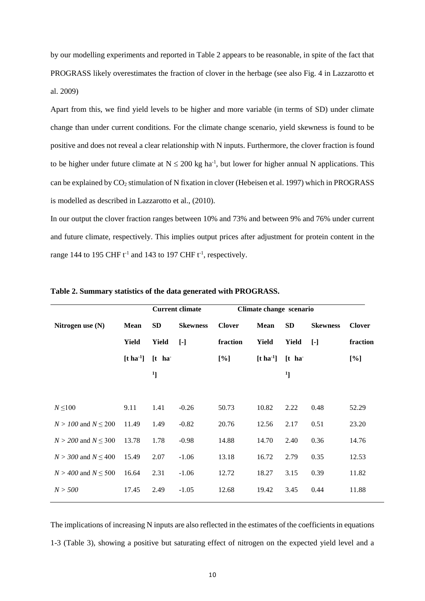by our modelling experiments and reported in Table 2 appears to be reasonable, in spite of the fact that PROGRASS likely overestimates the fraction of clover in the herbage (see also Fig. 4 in Lazzarotto et al. 2009)

Apart from this, we find yield levels to be higher and more variable (in terms of SD) under climate change than under current conditions. For the climate change scenario, yield skewness is found to be positive and does not reveal a clear relationship with N inputs. Furthermore, the clover fraction is found to be higher under future climate at  $N \le 200$  kg ha<sup>-1</sup>, but lower for higher annual N applications. This can be explained by CO<sub>2</sub> stimulation of N fixation in clover (Hebeisen et al. 1997) which in PROGRASS is modelled as described in Lazzarotto et al., (2010).

In our output the clover fraction ranges between 10% and 73% and between 9% and 76% under current and future climate, respectively. This implies output prices after adjustment for protein content in the range 144 to 195 CHF  $t^{-1}$  and 143 to 197 CHF  $t^{-1}$ , respectively.

|                           |             | <b>Current climate</b>                 |                 | Climate change scenario |                                     |              |                 |               |
|---------------------------|-------------|----------------------------------------|-----------------|-------------------------|-------------------------------------|--------------|-----------------|---------------|
| Nitrogen use $(N)$        | <b>Mean</b> | <b>SD</b>                              | <b>Skewness</b> | <b>Clover</b>           | Mean                                | SD           | <b>Skewness</b> | <b>Clover</b> |
|                           | Yield       | Yield                                  | $[\cdot]$       | fraction                | Yield                               | <b>Yield</b> | $[\cdot]$       | fraction      |
|                           |             | $[t \text{ ha}^{-1}]$ $[t \text{ ha}]$ |                 | $[\%]$                  | $[t \text{ ha}^1]$ $[t \text{ ha}]$ |              |                 | [%]           |
|                           |             | $\mathbf{1}$                           |                 |                         |                                     | $^{1}$ ]     |                 |               |
|                           |             |                                        |                 |                         |                                     |              |                 |               |
| $N \leq 100$              | 9.11        | 1.41                                   | $-0.26$         | 50.73                   | 10.82                               | 2.22         | 0.48            | 52.29         |
| $N > 100$ and $N \le 200$ | 11.49       | 1.49                                   | $-0.82$         | 20.76                   | 12.56                               | 2.17         | 0.51            | 23.20         |
| $N > 200$ and $N < 300$   | 13.78       | 1.78                                   | $-0.98$         | 14.88                   | 14.70                               | 2.40         | 0.36            | 14.76         |
| $N > 300$ and $N \le 400$ | 15.49       | 2.07                                   | $-1.06$         | 13.18                   | 16.72                               | 2.79         | 0.35            | 12.53         |
| $N > 400$ and $N \le 500$ | 16.64       | 2.31                                   | $-1.06$         | 12.72                   | 18.27                               | 3.15         | 0.39            | 11.82         |
| N > 500                   | 17.45       | 2.49                                   | $-1.05$         | 12.68                   | 19.42                               | 3.45         | 0.44            | 11.88         |
|                           |             |                                        |                 |                         |                                     |              |                 |               |

**Table 2. Summary statistics of the data generated with PROGRASS.**

The implications of increasing N inputs are also reflected in the estimates of the coefficients in equations 1-3 (Table 3), showing a positive but saturating effect of nitrogen on the expected yield level and a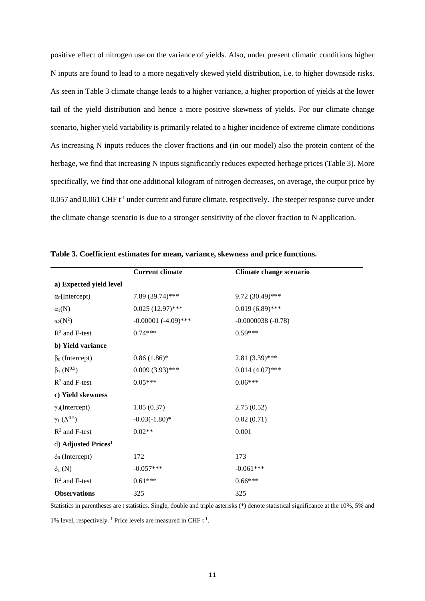positive effect of nitrogen use on the variance of yields. Also, under present climatic conditions higher N inputs are found to lead to a more negatively skewed yield distribution, i.e. to higher downside risks. As seen in Table 3 climate change leads to a higher variance, a higher proportion of yields at the lower tail of the yield distribution and hence a more positive skewness of yields. For our climate change scenario, higher yield variability is primarily related to a higher incidence of extreme climate conditions As increasing N inputs reduces the clover fractions and (in our model) also the protein content of the herbage, we find that increasing N inputs significantly reduces expected herbage prices (Table 3). More specifically, we find that one additional kilogram of nitrogen decreases, on average, the output price by 0.057 and 0.061 CHF t<sup>-1</sup> under current and future climate, respectively. The steeper response curve under the climate change scenario is due to a stronger sensitivity of the clover fraction to N application.

|                                 | <b>Current climate</b> | Climate change scenario |  |  |  |  |
|---------------------------------|------------------------|-------------------------|--|--|--|--|
| a) Expected yield level         |                        |                         |  |  |  |  |
| $\alpha_0$ (Intercept)          | 7.89 (39.74)***        | 9.72 (30.49)***         |  |  |  |  |
| $\alpha_1(N)$                   | $0.025(12.97)$ ***     | $0.019(6.89)$ ***       |  |  |  |  |
| $\alpha_2(N^2)$                 | $-0.00001 (-4.09)$ *** | $-0.0000038(-0.78)$     |  |  |  |  |
| $R^2$ and F-test                | $0.74***$              | $0.59***$               |  |  |  |  |
| b) Yield variance               |                        |                         |  |  |  |  |
| $\beta_0$ (Intercept)           | $0.86(1.86)$ *         | $2.81(3.39)$ ***        |  |  |  |  |
| $\beta_1(N^{0.5})$              | $0.009(3.93)$ ***      | $0.014(4.07)$ ***       |  |  |  |  |
| $R^2$ and F-test                | $0.05***$              | $0.06***$               |  |  |  |  |
| c) Yield skewness               |                        |                         |  |  |  |  |
| $\gamma_0$ (Intercept)          | 1.05(0.37)             | 2.75(0.52)              |  |  |  |  |
| $\gamma_1(N^{0.5})$             | $-0.03(-1.80)$ *       | 0.02(0.71)              |  |  |  |  |
| $R^2$ and F-test                | $0.02**$               | 0.001                   |  |  |  |  |
| d) Adjusted Prices <sup>1</sup> |                        |                         |  |  |  |  |
| $\delta_0$ (Intercept)          | 172                    | 173                     |  |  |  |  |
| $\delta_1(N)$                   | $-0.057***$            | $-0.061***$             |  |  |  |  |
| $R^2$ and F-test                | $0.61***$              | $0.66***$               |  |  |  |  |
| <b>Observations</b>             | 325                    | 325                     |  |  |  |  |

|  |  |  | Table 3. Coefficient estimates for mean, variance, skewness and price functions. |
|--|--|--|----------------------------------------------------------------------------------|
|  |  |  |                                                                                  |

Statistics in parentheses are t statistics. Single, double and triple asterisks (\*) denote statistical significance at the 10%, 5% and

1% level, respectively. <sup>1</sup> Price levels are measured in CHF  $t^{-1}$ .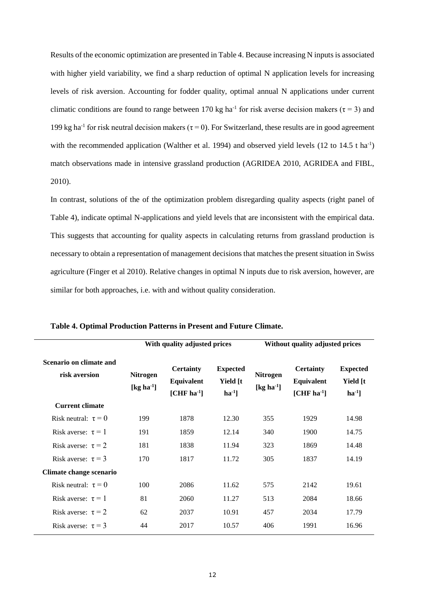Results of the economic optimization are presented in Table 4. Because increasing N inputs is associated with higher yield variability, we find a sharp reduction of optimal N application levels for increasing levels of risk aversion. Accounting for fodder quality, optimal annual N applications under current climatic conditions are found to range between 170 kg ha<sup>-1</sup> for risk averse decision makers ( $\tau$  = 3) and 199 kg ha<sup>-1</sup> for risk neutral decision makers ( $\tau$  = 0). For Switzerland, these results are in good agreement with the recommended application (Walther et al. 1994) and observed yield levels (12 to 14.5 t ha<sup>-1</sup>) match observations made in intensive grassland production (AGRIDEA 2010, AGRIDEA and FIBL, 2010).

In contrast, solutions of the of the optimization problem disregarding quality aspects (right panel of Table 4), indicate optimal N-applications and yield levels that are inconsistent with the empirical data. This suggests that accounting for quality aspects in calculating returns from grassland production is necessary to obtain a representation of management decisions that matches the present situation in Swiss agriculture (Finger et al 2010). Relative changes in optimal N inputs due to risk aversion, however, are similar for both approaches, i.e. with and without quality consideration.

|                                          |                                        | With quality adjusted prices                   |                                                      | Without quality adjusted prices        |                                                |                                        |
|------------------------------------------|----------------------------------------|------------------------------------------------|------------------------------------------------------|----------------------------------------|------------------------------------------------|----------------------------------------|
| Scenario on climate and<br>risk aversion | <b>Nitrogen</b><br>[ $kg \, ha^{-1}$ ] | <b>Certainty</b><br>Equivalent<br>$[CHF ha-1]$ | <b>Expected</b><br>Yield [t]<br>$\mathbf{ha}^{-1}$ ] | <b>Nitrogen</b><br>[ $kg \, ha^{-1}$ ] | <b>Certainty</b><br>Equivalent<br>$[CHF ha-1]$ | <b>Expected</b><br>Yield [t<br>$\ln 1$ |
| <b>Current climate</b>                   |                                        |                                                |                                                      |                                        |                                                |                                        |
| Risk neutral: $\tau = 0$                 | 199                                    | 1878                                           | 12.30                                                | 355                                    | 1929                                           | 14.98                                  |
| Risk averse: $\tau = 1$                  | 191                                    | 1859                                           | 12.14                                                | 340                                    | 1900                                           | 14.75                                  |
| Risk averse: $\tau = 2$                  | 181                                    | 1838                                           | 11.94                                                | 323                                    | 1869                                           | 14.48                                  |
| Risk averse: $\tau = 3$                  | 170                                    | 1817                                           | 11.72                                                | 305                                    | 1837                                           | 14.19                                  |
| Climate change scenario                  |                                        |                                                |                                                      |                                        |                                                |                                        |
| Risk neutral: $\tau = 0$                 | 100                                    | 2086                                           | 11.62                                                | 575                                    | 2142                                           | 19.61                                  |
| Risk averse: $\tau = 1$                  | 81                                     | 2060                                           | 11.27                                                | 513                                    | 2084                                           | 18.66                                  |
| Risk averse: $\tau = 2$                  | 62                                     | 2037                                           | 10.91                                                | 457                                    | 2034                                           | 17.79                                  |
| Risk averse: $\tau = 3$                  | 44                                     | 2017                                           | 10.57                                                | 406                                    | 1991                                           | 16.96                                  |

**Table 4. Optimal Production Patterns in Present and Future Climate.**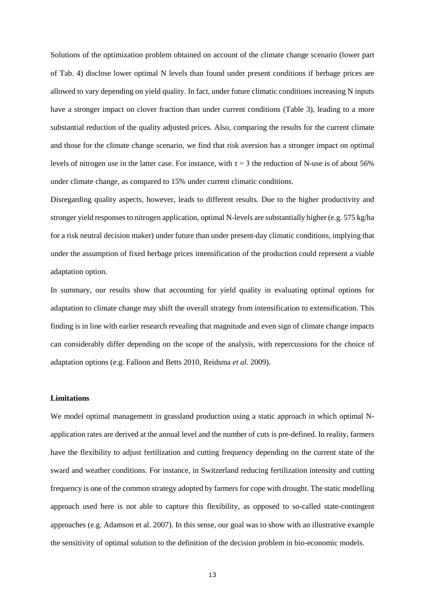Solutions of the optimization problem obtained on account of the climate change scenario (lower part of Tab. 4) disclose lower optimal N levels than found under present conditions if herbage prices are allowed to vary depending on yield quality. In fact, under future climatic conditions increasing N inputs have a stronger impact on clover fraction than under current conditions (Table 3), leading to a more substantial reduction of the quality adjusted prices. Also, comparing the results for the current climate and those for the climate change scenario, we find that risk aversion has a stronger impact on optimal levels of nitrogen use in the latter case. For instance, with  $\tau = 3$  the reduction of N-use is of about 56% under climate change, as compared to 15% under current climatic conditions.

Disregarding quality aspects, however, leads to different results. Due to the higher productivity and stronger yield responses to nitrogen application, optimal N-levels are substantially higher (e.g. 575 kg/ha for a risk neutral decision maker) under future than under present-day climatic conditions, implying that under the assumption of fixed herbage prices intensification of the production could represent a viable adaptation option.

In summary, our results show that accounting for yield quality in evaluating optimal options for adaptation to climate change may shift the overall strategy from intensification to extensification. This finding is in line with earlier research revealing that magnitude and even sign of climate change impacts can considerably differ depending on the scope of the analysis, with repercussions for the choice of adaptation options (e.g. Falloon and Betts 2010, Reidsma *et al.* 2009).

#### **Limitations**

We model optimal management in grassland production using a static approach in which optimal Napplication rates are derived at the annual level and the number of cuts is pre-defined. In reality, farmers have the flexibility to adjust fertilization and cutting frequency depending on the current state of the sward and weather conditions. For instance, in Switzerland reducing fertilization intensity and cutting frequency is one of the common strategy adopted by farmers for cope with drought. The static modelling approach used here is not able to capture this flexibility, as opposed to so-called state-contingent approaches (e.g. Adamson et al. 2007). In this sense, our goal was to show with an illustrative example the sensitivity of optimal solution to the definition of the decision problem in bio-economic models.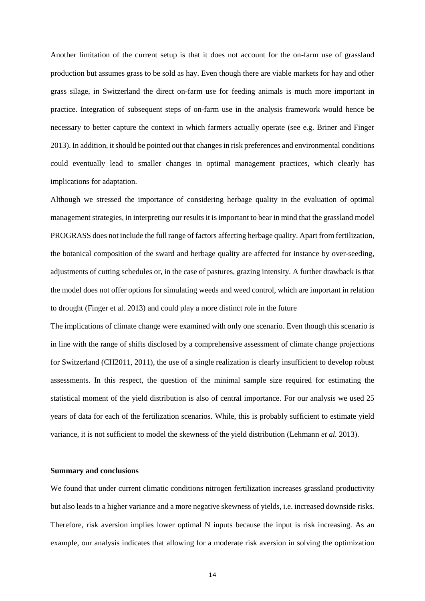Another limitation of the current setup is that it does not account for the on-farm use of grassland production but assumes grass to be sold as hay. Even though there are viable markets for hay and other grass silage, in Switzerland the direct on-farm use for feeding animals is much more important in practice. Integration of subsequent steps of on-farm use in the analysis framework would hence be necessary to better capture the context in which farmers actually operate (see e.g. Briner and Finger 2013). In addition, it should be pointed out that changes in risk preferences and environmental conditions could eventually lead to smaller changes in optimal management practices, which clearly has implications for adaptation.

Although we stressed the importance of considering herbage quality in the evaluation of optimal management strategies, in interpreting our results it is important to bear in mind that the grassland model PROGRASS does not include the full range of factors affecting herbage quality. Apart from fertilization, the botanical composition of the sward and herbage quality are affected for instance by over-seeding, adjustments of cutting schedules or, in the case of pastures, grazing intensity. A further drawback is that the model does not offer options for simulating weeds and weed control, which are important in relation to drought (Finger et al. 2013) and could play a more distinct role in the future

The implications of climate change were examined with only one scenario. Even though this scenario is in line with the range of shifts disclosed by a comprehensive assessment of climate change projections for Switzerland (CH2011, 2011), the use of a single realization is clearly insufficient to develop robust assessments. In this respect, the question of the minimal sample size required for estimating the statistical moment of the yield distribution is also of central importance. For our analysis we used 25 years of data for each of the fertilization scenarios. While, this is probably sufficient to estimate yield variance, it is not sufficient to model the skewness of the yield distribution (Lehmann *et al.* 2013).

#### **Summary and conclusions**

We found that under current climatic conditions nitrogen fertilization increases grassland productivity but also leads to a higher variance and a more negative skewness of yields, i.e. increased downside risks. Therefore, risk aversion implies lower optimal N inputs because the input is risk increasing. As an example, our analysis indicates that allowing for a moderate risk aversion in solving the optimization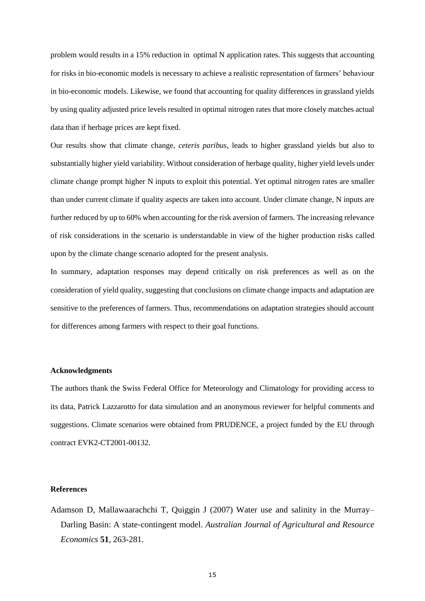problem would results in a 15% reduction in optimal N application rates. This suggests that accounting for risks in bio-economic models is necessary to achieve a realistic representation of farmers' behaviour in bio-economic models. Likewise, we found that accounting for quality differences in grassland yields by using quality adjusted price levels resulted in optimal nitrogen rates that more closely matches actual data than if herbage prices are kept fixed.

Our results show that climate change, *ceteris paribus*, leads to higher grassland yields but also to substantially higher yield variability. Without consideration of herbage quality, higher yield levels under climate change prompt higher N inputs to exploit this potential. Yet optimal nitrogen rates are smaller than under current climate if quality aspects are taken into account. Under climate change, N inputs are further reduced by up to 60% when accounting for the risk aversion of farmers. The increasing relevance of risk considerations in the scenario is understandable in view of the higher production risks called upon by the climate change scenario adopted for the present analysis.

In summary, adaptation responses may depend critically on risk preferences as well as on the consideration of yield quality, suggesting that conclusions on climate change impacts and adaptation are sensitive to the preferences of farmers. Thus, recommendations on adaptation strategies should account for differences among farmers with respect to their goal functions.

## **Acknowledgments**

The authors thank the Swiss Federal Office for Meteorology and Climatology for providing access to its data, Patrick Lazzarotto for data simulation and an anonymous reviewer for helpful comments and suggestions. Climate scenarios were obtained from PRUDENCE, a project funded by the EU through contract EVK2-CT2001-00132.

## **References**

Adamson D, Mallawaarachchi T, Quiggin J (2007) Water use and salinity in the Murray– Darling Basin: A state-contingent model. *Australian Journal of Agricultural and Resource Economics* **51**, 263-281.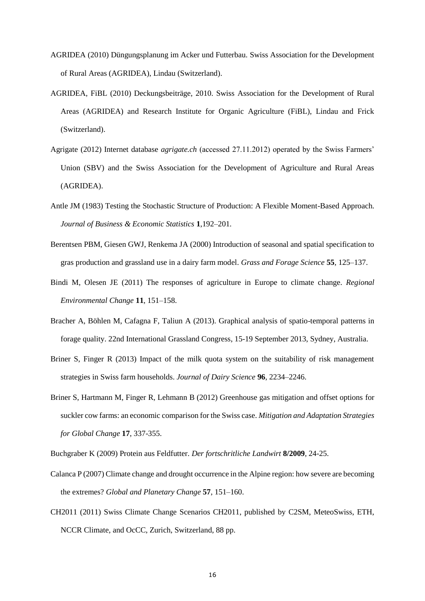- AGRIDEA (2010) Düngungsplanung im Acker und Futterbau. Swiss Association for the Development of Rural Areas (AGRIDEA), Lindau (Switzerland).
- AGRIDEA, FiBL (2010) Deckungsbeiträge, 2010. Swiss Association for the Development of Rural Areas (AGRIDEA) and Research Institute for Organic Agriculture (FiBL), Lindau and Frick (Switzerland).
- Agrigate (2012) Internet database *agrigate.ch* (accessed 27.11.2012) operated by the Swiss Farmers' Union (SBV) and the Swiss Association for the Development of Agriculture and Rural Areas (AGRIDEA).
- Antle JM (1983) Testing the Stochastic Structure of Production: A Flexible Moment-Based Approach. *Journal of Business & Economic Statistics* **1**,192–201.
- Berentsen PBM, Giesen GWJ, Renkema JA (2000) Introduction of seasonal and spatial specification to gras production and grassland use in a dairy farm model. *Grass and Forage Science* **55**, 125–137.
- Bindi M, Olesen JE (2011) The responses of agriculture in Europe to climate change. *Regional Environmental Change* **11**, 151–158.
- Bracher A, Böhlen M, Cafagna F, Taliun A (2013). Graphical analysis of spatio-temporal patterns in forage quality. 22nd International Grassland Congress, 15-19 September 2013, Sydney, Australia.
- Briner S, Finger R (2013) Impact of the milk quota system on the suitability of risk management strategies in Swiss farm households. *Journal of Dairy Science* **96**, 2234–2246.
- Briner S, Hartmann M, Finger R, Lehmann B (2012) Greenhouse gas mitigation and offset options for suckler cow farms: an economic comparison for the Swiss case. *Mitigation and Adaptation Strategies for Global Change* **17**, 337-355.
- Buchgraber K (2009) Protein aus Feldfutter. *Der fortschritliche Landwirt* **8/2009**, 24-25.
- Calanca P (2007) Climate change and drought occurrence in the Alpine region: how severe are becoming the extremes? *Global and Planetary Change* **57**, 151–160.
- CH2011 (2011) Swiss Climate Change Scenarios CH2011, published by C2SM, MeteoSwiss, ETH, NCCR Climate, and OcCC, Zurich, Switzerland, 88 pp.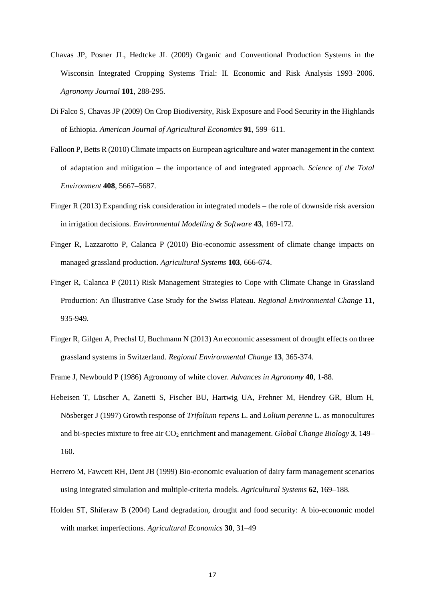- Chavas JP, Posner JL, Hedtcke JL (2009) Organic and Conventional Production Systems in the Wisconsin Integrated Cropping Systems Trial: II. Economic and Risk Analysis 1993–2006. *Agronomy Journal* **101**, 288-295*.*
- Di Falco S, Chavas JP (2009) On Crop Biodiversity, Risk Exposure and Food Security in the Highlands of Ethiopia. *American Journal of Agricultural Economics* **91**, 599–611.
- Falloon P, Betts R (2010) Climate impacts on European agriculture and water management in the context of adaptation and mitigation – the importance of and integrated approach. *Science of the Total Environment* **408**, 5667–5687.
- Finger R (2013) Expanding risk consideration in integrated models the role of downside risk aversion in irrigation decisions. *Environmental Modelling & Software* **43**, 169-172.
- Finger R, Lazzarotto P, Calanca P (2010) Bio-economic assessment of climate change impacts on managed grassland production. *Agricultural Systems* **103**, 666-674.
- Finger R, Calanca P (2011) Risk Management Strategies to Cope with Climate Change in Grassland Production: An Illustrative Case Study for the Swiss Plateau. *Regional Environmental Change* **11**, 935-949.
- Finger R, Gilgen A, Prechsl U, Buchmann N (2013) An economic assessment of drought effects on three grassland systems in Switzerland. *Regional Environmental Change* **13**, 365-374.

Frame J, Newbould P (1986) Agronomy of white clover. *Advances in Agronomy* **40**, 1-88.

- Hebeisen T, Lüscher A, Zanetti S, Fischer BU, Hartwig UA, Frehner M, Hendrey GR, Blum H, Nösberger J (1997) Growth response of *Trifolium repens* L. and *Lolium perenne* L. as monocultures and bi-species mixture to free air  $CO<sub>2</sub>$  enrichment and management. *Global Change Biology* 3, 149– 160.
- Herrero M, Fawcett RH, Dent JB (1999) Bio-economic evaluation of dairy farm management scenarios using integrated simulation and multiple-criteria models. *Agricultural Systems* **62**, 169–188.
- Holden ST, Shiferaw B (2004) Land degradation, drought and food security: A bio-economic model with market imperfections. *Agricultural Economics* **30**, 31–49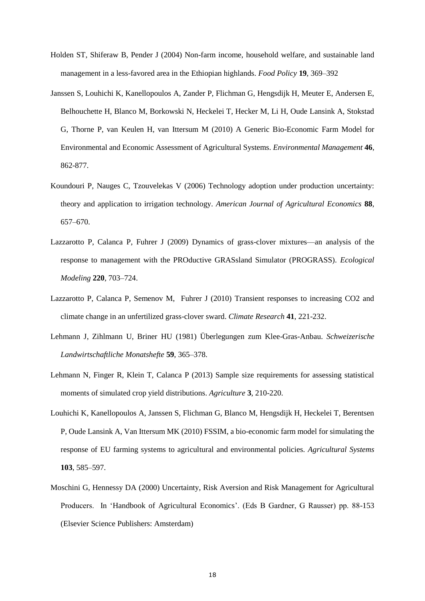- Holden ST, Shiferaw B, Pender J (2004) Non-farm income, household welfare, and sustainable land management in a less-favored area in the Ethiopian highlands. *Food Policy* **19**, 369–392
- Janssen S, Louhichi K, Kanellopoulos A, Zander P, Flichman G, Hengsdijk H, Meuter E, Andersen E, Belhouchette H, Blanco M, Borkowski N, Heckelei T, Hecker M, Li H, Oude Lansink A, Stokstad G, Thorne P, van Keulen H, van Ittersum M (2010) A Generic Bio-Economic Farm Model for Environmental and Economic Assessment of Agricultural Systems. *Environmental Management* **46**, 862-877.
- Koundouri P, Nauges C, Tzouvelekas V (2006) Technology adoption under production uncertainty: theory and application to irrigation technology. *American Journal of Agricultural Economics* **88**, 657–670.
- Lazzarotto P, Calanca P, Fuhrer J (2009) Dynamics of grass-clover mixtures—an analysis of the response to management with the PROductive GRASsland Simulator (PROGRASS). *Ecological Modeling* **220**, 703–724.
- Lazzarotto P, Calanca P, Semenov M, Fuhrer J (2010) Transient responses to increasing CO2 and climate change in an unfertilized grass-clover sward. *Climate Research* **41**, 221-232.
- Lehmann J, Zihlmann U, Briner HU (1981) Überlegungen zum Klee-Gras-Anbau. *Schweizerische Landwirtschaftliche Monatshefte* **59**, 365–378.
- Lehmann N, Finger R, Klein T, Calanca P (2013) Sample size requirements for assessing statistical moments of simulated crop yield distributions. *Agriculture* **3**, 210-220.
- Louhichi K, Kanellopoulos A, Janssen S, Flichman G, Blanco M, Hengsdijk H, Heckelei T, Berentsen P, Oude Lansink A, Van Ittersum MK (2010) FSSIM, a bio-economic farm model for simulating the response of EU farming systems to agricultural and environmental policies. *Agricultural Systems* **103**, 585–597.
- Moschini G, Hennessy DA (2000) Uncertainty, Risk Aversion and Risk Management for Agricultural Producers. In 'Handbook of Agricultural Economics'. (Eds B Gardner, G Rausser) pp. 88-153 (Elsevier Science Publishers: Amsterdam)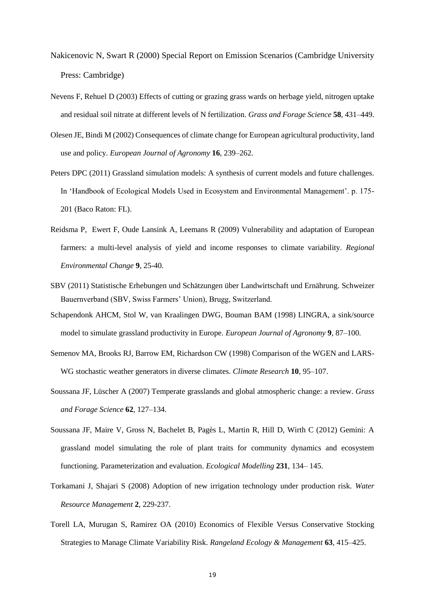- Nakicenovic N, Swart R (2000) Special Report on Emission Scenarios (Cambridge University Press: Cambridge)
- Nevens F, Rehuel D (2003) Effects of cutting or grazing grass wards on herbage yield, nitrogen uptake and residual soil nitrate at different levels of N fertilization. *Grass and Forage Science* **58**, 431–449.
- Olesen JE, Bindi M (2002) Consequences of climate change for European agricultural productivity, land use and policy. *European Journal of Agronomy* **16**, 239–262.
- Peters DPC (2011) Grassland simulation models: A synthesis of current models and future challenges. In 'Handbook of Ecological Models Used in Ecosystem and Environmental Management'. p. 175- 201 (Baco Raton: FL).
- Reidsma P, Ewert F, Oude Lansink A, Leemans R (2009) Vulnerability and adaptation of European farmers: a multi-level analysis of yield and income responses to climate variability. *Regional Environmental Change* **9**, 25-40.
- SBV (2011) Statistische Erhebungen und Schätzungen über Landwirtschaft und Ernährung. Schweizer Bauernverband (SBV, Swiss Farmers' Union), Brugg, Switzerland.
- Schapendonk AHCM, Stol W, van Kraalingen DWG, Bouman BAM (1998) LINGRA, a sink/source model to simulate grassland productivity in Europe. *European Journal of Agronomy* **9**, 87–100.
- Semenov MA, Brooks RJ, Barrow EM, Richardson CW (1998) Comparison of the WGEN and LARS-WG stochastic weather generators in diverse climates. *Climate Research* **10**, 95–107.
- Soussana JF, Lüscher A (2007) Temperate grasslands and global atmospheric change: a review. *Grass and Forage Science* **62**, 127–134.
- Soussana JF, Maire V, Gross N, Bachelet B, Pagès L, Martin R, Hill D, Wirth C (2012) Gemini: A grassland model simulating the role of plant traits for community dynamics and ecosystem functioning. Parameterization and evaluation. *Ecological Modelling* **231**, 134– 145.
- Torkamani J, Shajari S (2008) Adoption of new irrigation technology under production risk. *Water Resource Management* **2**, 229-237.
- Torell LA, Murugan S, Ramirez OA (2010) Economics of Flexible Versus Conservative Stocking Strategies to Manage Climate Variability Risk. *Rangeland Ecology & Management* **63**, 415–425.